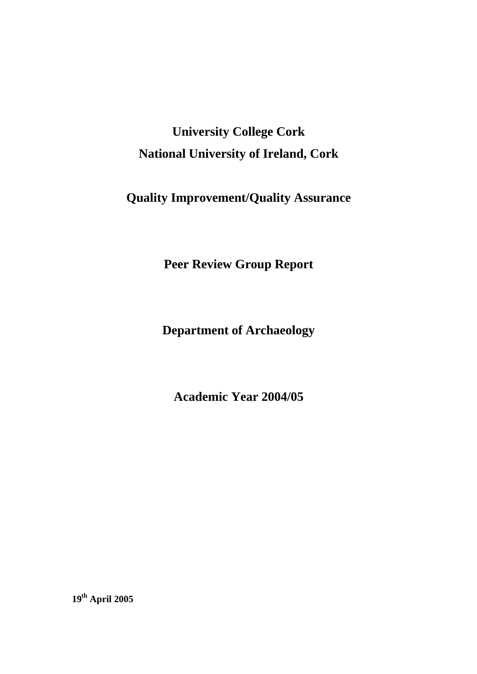# **University College Cork National University of Ireland, Cork**

# **Quality Improvement/Quality Assurance**

**Peer Review Group Report** 

**Department of Archaeology** 

**Academic Year 2004/05** 

**19th April 2005**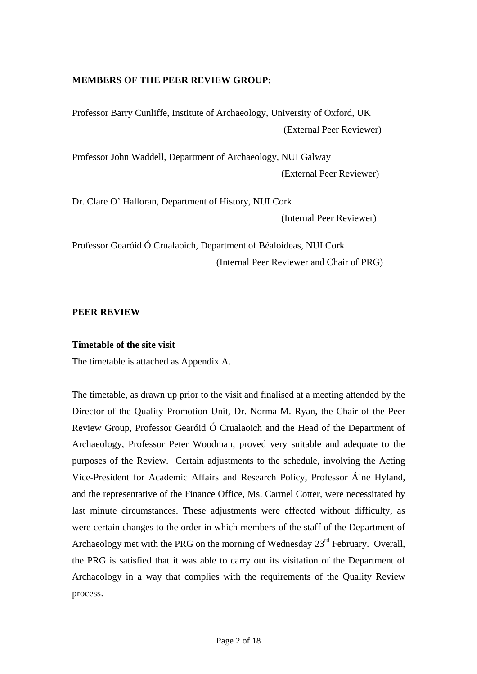# **MEMBERS OF THE PEER REVIEW GROUP:**

Professor Barry Cunliffe, Institute of Archaeology, University of Oxford, UK (External Peer Reviewer)

Professor John Waddell, Department of Archaeology, NUI Galway (External Peer Reviewer)

Dr. Clare O' Halloran, Department of History, NUI Cork (Internal Peer Reviewer)

Professor Gearóid Ó Crualaoich, Department of Béaloideas, NUI Cork (Internal Peer Reviewer and Chair of PRG)

# **PEER REVIEW**

# **Timetable of the site visit**

The timetable is attached as Appendix A.

The timetable, as drawn up prior to the visit and finalised at a meeting attended by the Director of the Quality Promotion Unit, Dr. Norma M. Ryan, the Chair of the Peer Review Group, Professor Gearóid Ó Crualaoich and the Head of the Department of Archaeology, Professor Peter Woodman, proved very suitable and adequate to the purposes of the Review. Certain adjustments to the schedule, involving the Acting Vice-President for Academic Affairs and Research Policy, Professor Áine Hyland, and the representative of the Finance Office, Ms. Carmel Cotter, were necessitated by last minute circumstances. These adjustments were effected without difficulty, as were certain changes to the order in which members of the staff of the Department of Archaeology met with the PRG on the morning of Wednesday 23<sup>rd</sup> February. Overall, the PRG is satisfied that it was able to carry out its visitation of the Department of Archaeology in a way that complies with the requirements of the Quality Review process.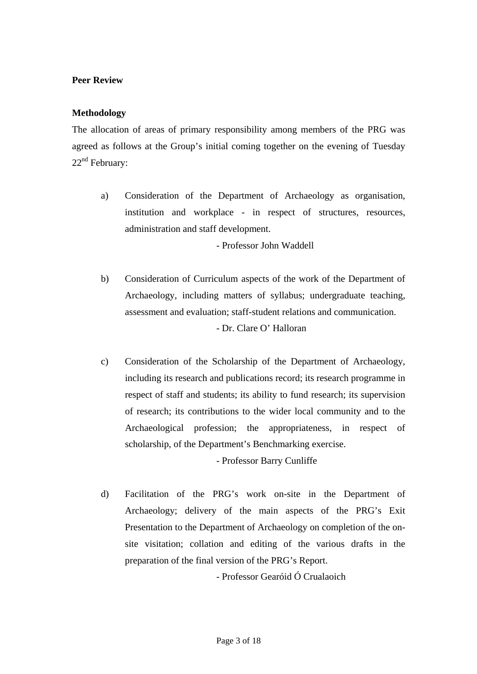# **Peer Review**

# **Methodology**

The allocation of areas of primary responsibility among members of the PRG was agreed as follows at the Group's initial coming together on the evening of Tuesday  $22<sup>nd</sup>$  February:

a) Consideration of the Department of Archaeology as organisation, institution and workplace - in respect of structures, resources, administration and staff development.

- Professor John Waddell

- b) Consideration of Curriculum aspects of the work of the Department of Archaeology, including matters of syllabus; undergraduate teaching, assessment and evaluation; staff-student relations and communication. - Dr. Clare O' Halloran
- c) Consideration of the Scholarship of the Department of Archaeology, including its research and publications record; its research programme in respect of staff and students; its ability to fund research; its supervision of research; its contributions to the wider local community and to the Archaeological profession; the appropriateness, in respect of scholarship, of the Department's Benchmarking exercise.

- Professor Barry Cunliffe

d) Facilitation of the PRG's work on-site in the Department of Archaeology; delivery of the main aspects of the PRG's Exit Presentation to the Department of Archaeology on completion of the onsite visitation; collation and editing of the various drafts in the preparation of the final version of the PRG's Report.

- Professor Gearóid Ó Crualaoich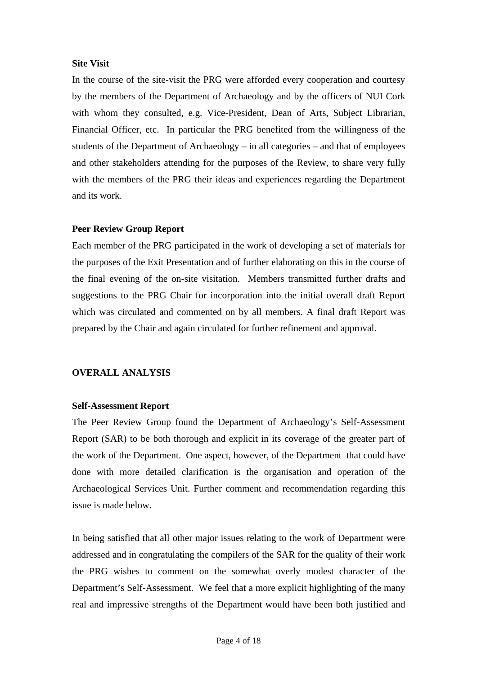#### **Site Visit**

In the course of the site-visit the PRG were afforded every cooperation and courtesy by the members of the Department of Archaeology and by the officers of NUI Cork with whom they consulted, e.g. Vice-President, Dean of Arts, Subject Librarian, Financial Officer, etc. In particular the PRG benefited from the willingness of the students of the Department of Archaeology  $-$  in all categories  $-$  and that of employees and other stakeholders attending for the purposes of the Review, to share very fully with the members of the PRG their ideas and experiences regarding the Department and its work.

#### **Peer Review Group Report**

Each member of the PRG participated in the work of developing a set of materials for the purposes of the Exit Presentation and of further elaborating on this in the course of the final evening of the on-site visitation. Members transmitted further drafts and suggestions to the PRG Chair for incorporation into the initial overall draft Report which was circulated and commented on by all members. A final draft Report was prepared by the Chair and again circulated for further refinement and approval.

# **OVERALL ANALYSIS**

#### **Self-Assessment Report**

The Peer Review Group found the Department of Archaeology's Self-Assessment Report (SAR) to be both thorough and explicit in its coverage of the greater part of the work of the Department. One aspect, however, of the Department that could have done with more detailed clarification is the organisation and operation of the Archaeological Services Unit. Further comment and recommendation regarding this issue is made below.

In being satisfied that all other major issues relating to the work of Department were addressed and in congratulating the compilers of the SAR for the quality of their work the PRG wishes to comment on the somewhat overly modest character of the Department's Self-Assessment. We feel that a more explicit highlighting of the many real and impressive strengths of the Department would have been both justified and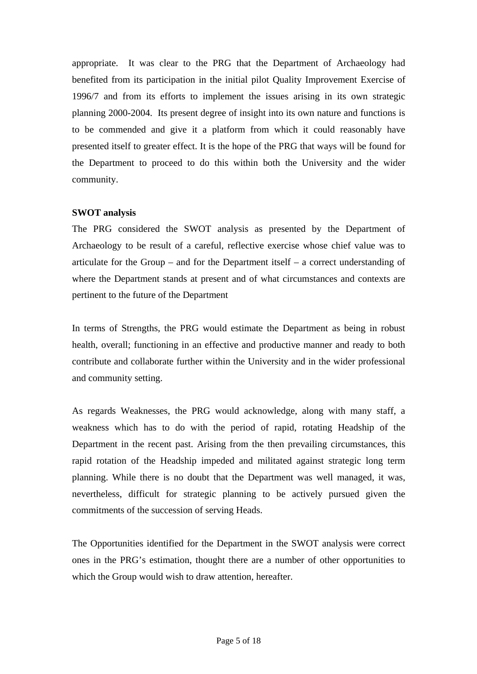appropriate. It was clear to the PRG that the Department of Archaeology had benefited from its participation in the initial pilot Quality Improvement Exercise of 1996/7 and from its efforts to implement the issues arising in its own strategic planning 2000-2004. Its present degree of insight into its own nature and functions is to be commended and give it a platform from which it could reasonably have presented itself to greater effect. It is the hope of the PRG that ways will be found for the Department to proceed to do this within both the University and the wider community.

# **SWOT analysis**

The PRG considered the SWOT analysis as presented by the Department of Archaeology to be result of a careful, reflective exercise whose chief value was to articulate for the Group – and for the Department itself – a correct understanding of where the Department stands at present and of what circumstances and contexts are pertinent to the future of the Department

In terms of Strengths, the PRG would estimate the Department as being in robust health, overall; functioning in an effective and productive manner and ready to both contribute and collaborate further within the University and in the wider professional and community setting.

As regards Weaknesses, the PRG would acknowledge, along with many staff, a weakness which has to do with the period of rapid, rotating Headship of the Department in the recent past. Arising from the then prevailing circumstances, this rapid rotation of the Headship impeded and militated against strategic long term planning. While there is no doubt that the Department was well managed, it was, nevertheless, difficult for strategic planning to be actively pursued given the commitments of the succession of serving Heads.

The Opportunities identified for the Department in the SWOT analysis were correct ones in the PRG's estimation, thought there are a number of other opportunities to which the Group would wish to draw attention, hereafter.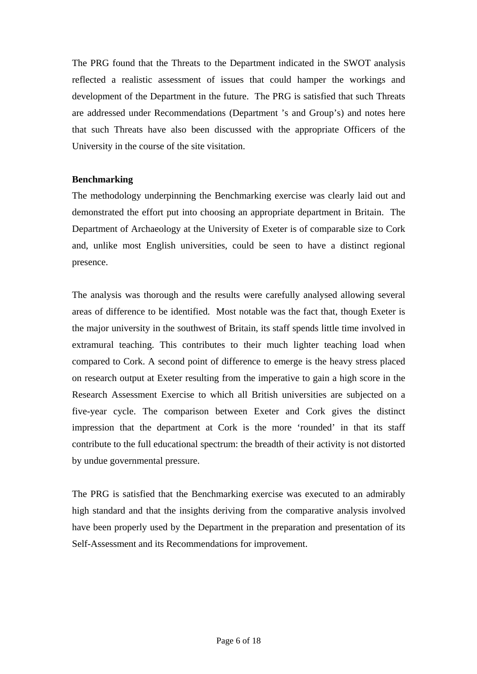The PRG found that the Threats to the Department indicated in the SWOT analysis reflected a realistic assessment of issues that could hamper the workings and development of the Department in the future. The PRG is satisfied that such Threats are addressed under Recommendations (Department 's and Group's) and notes here that such Threats have also been discussed with the appropriate Officers of the University in the course of the site visitation.

# **Benchmarking**

The methodology underpinning the Benchmarking exercise was clearly laid out and demonstrated the effort put into choosing an appropriate department in Britain. The Department of Archaeology at the University of Exeter is of comparable size to Cork and, unlike most English universities, could be seen to have a distinct regional presence.

The analysis was thorough and the results were carefully analysed allowing several areas of difference to be identified. Most notable was the fact that, though Exeter is the major university in the southwest of Britain, its staff spends little time involved in extramural teaching. This contributes to their much lighter teaching load when compared to Cork. A second point of difference to emerge is the heavy stress placed on research output at Exeter resulting from the imperative to gain a high score in the Research Assessment Exercise to which all British universities are subjected on a five-year cycle. The comparison between Exeter and Cork gives the distinct impression that the department at Cork is the more 'rounded' in that its staff contribute to the full educational spectrum: the breadth of their activity is not distorted by undue governmental pressure.

The PRG is satisfied that the Benchmarking exercise was executed to an admirably high standard and that the insights deriving from the comparative analysis involved have been properly used by the Department in the preparation and presentation of its Self-Assessment and its Recommendations for improvement.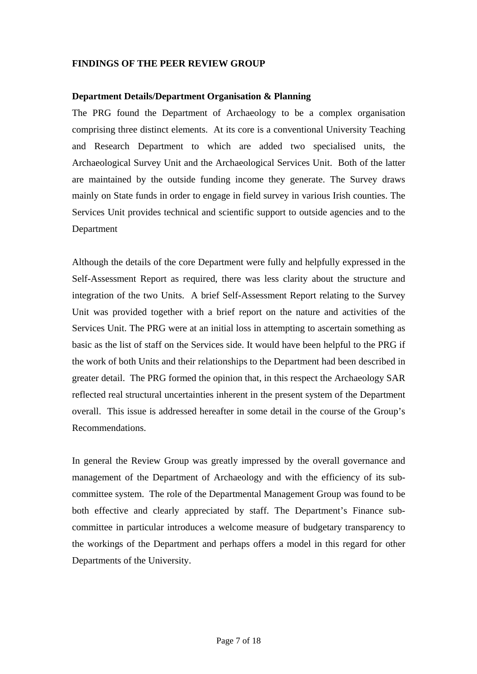# **FINDINGS OF THE PEER REVIEW GROUP**

#### **Department Details/Department Organisation & Planning**

The PRG found the Department of Archaeology to be a complex organisation comprising three distinct elements. At its core is a conventional University Teaching and Research Department to which are added two specialised units, the Archaeological Survey Unit and the Archaeological Services Unit. Both of the latter are maintained by the outside funding income they generate. The Survey draws mainly on State funds in order to engage in field survey in various Irish counties. The Services Unit provides technical and scientific support to outside agencies and to the Department

Although the details of the core Department were fully and helpfully expressed in the Self-Assessment Report as required, there was less clarity about the structure and integration of the two Units. A brief Self-Assessment Report relating to the Survey Unit was provided together with a brief report on the nature and activities of the Services Unit. The PRG were at an initial loss in attempting to ascertain something as basic as the list of staff on the Services side. It would have been helpful to the PRG if the work of both Units and their relationships to the Department had been described in greater detail. The PRG formed the opinion that, in this respect the Archaeology SAR reflected real structural uncertainties inherent in the present system of the Department overall. This issue is addressed hereafter in some detail in the course of the Group's Recommendations.

In general the Review Group was greatly impressed by the overall governance and management of the Department of Archaeology and with the efficiency of its subcommittee system. The role of the Departmental Management Group was found to be both effective and clearly appreciated by staff. The Department's Finance subcommittee in particular introduces a welcome measure of budgetary transparency to the workings of the Department and perhaps offers a model in this regard for other Departments of the University.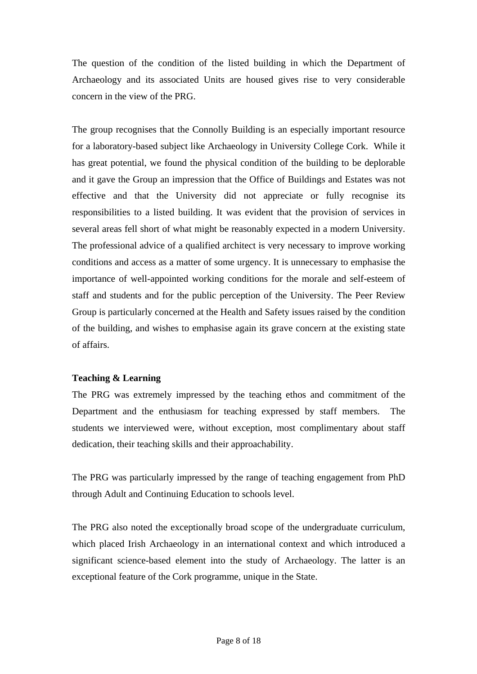The question of the condition of the listed building in which the Department of Archaeology and its associated Units are housed gives rise to very considerable concern in the view of the PRG.

The group recognises that the Connolly Building is an especially important resource for a laboratory-based subject like Archaeology in University College Cork. While it has great potential, we found the physical condition of the building to be deplorable and it gave the Group an impression that the Office of Buildings and Estates was not effective and that the University did not appreciate or fully recognise its responsibilities to a listed building. It was evident that the provision of services in several areas fell short of what might be reasonably expected in a modern University. The professional advice of a qualified architect is very necessary to improve working conditions and access as a matter of some urgency. It is unnecessary to emphasise the importance of well-appointed working conditions for the morale and self-esteem of staff and students and for the public perception of the University. The Peer Review Group is particularly concerned at the Health and Safety issues raised by the condition of the building, and wishes to emphasise again its grave concern at the existing state of affairs.

# **Teaching & Learning**

The PRG was extremely impressed by the teaching ethos and commitment of the Department and the enthusiasm for teaching expressed by staff members. The students we interviewed were, without exception, most complimentary about staff dedication, their teaching skills and their approachability.

The PRG was particularly impressed by the range of teaching engagement from PhD through Adult and Continuing Education to schools level.

The PRG also noted the exceptionally broad scope of the undergraduate curriculum, which placed Irish Archaeology in an international context and which introduced a significant science-based element into the study of Archaeology. The latter is an exceptional feature of the Cork programme, unique in the State.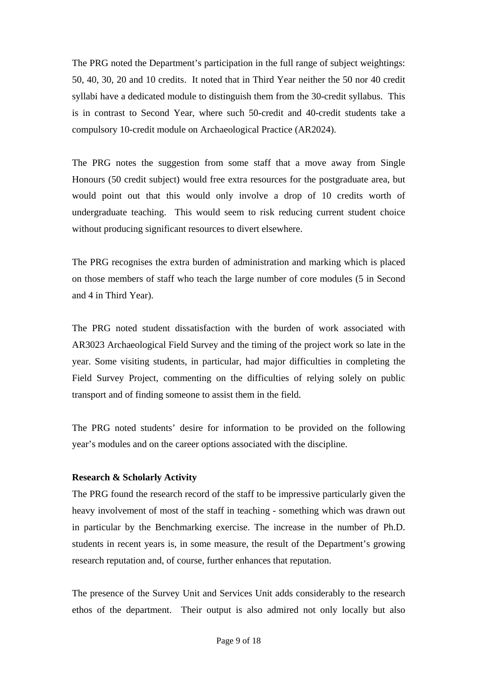The PRG noted the Department's participation in the full range of subject weightings: 50, 40, 30, 20 and 10 credits. It noted that in Third Year neither the 50 nor 40 credit syllabi have a dedicated module to distinguish them from the 30-credit syllabus. This is in contrast to Second Year, where such 50-credit and 40-credit students take a compulsory 10-credit module on Archaeological Practice (AR2024).

The PRG notes the suggestion from some staff that a move away from Single Honours (50 credit subject) would free extra resources for the postgraduate area, but would point out that this would only involve a drop of 10 credits worth of undergraduate teaching. This would seem to risk reducing current student choice without producing significant resources to divert elsewhere.

The PRG recognises the extra burden of administration and marking which is placed on those members of staff who teach the large number of core modules (5 in Second and 4 in Third Year).

The PRG noted student dissatisfaction with the burden of work associated with AR3023 Archaeological Field Survey and the timing of the project work so late in the year. Some visiting students, in particular, had major difficulties in completing the Field Survey Project, commenting on the difficulties of relying solely on public transport and of finding someone to assist them in the field.

The PRG noted students' desire for information to be provided on the following year's modules and on the career options associated with the discipline.

# **Research & Scholarly Activity**

The PRG found the research record of the staff to be impressive particularly given the heavy involvement of most of the staff in teaching - something which was drawn out in particular by the Benchmarking exercise. The increase in the number of Ph.D. students in recent years is, in some measure, the result of the Department's growing research reputation and, of course, further enhances that reputation.

The presence of the Survey Unit and Services Unit adds considerably to the research ethos of the department. Their output is also admired not only locally but also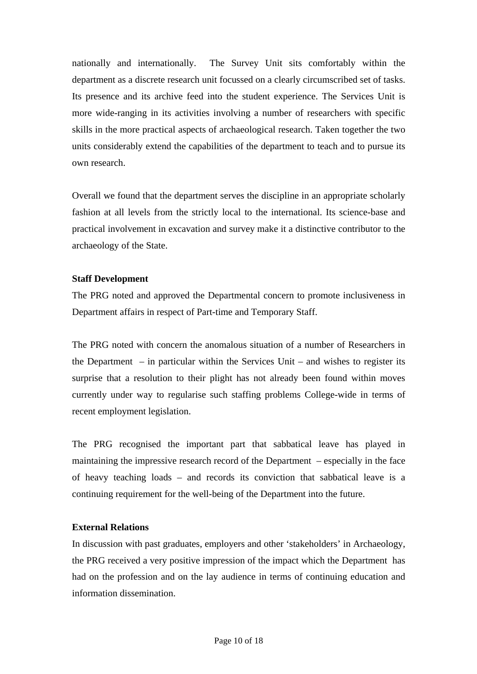nationally and internationally. The Survey Unit sits comfortably within the department as a discrete research unit focussed on a clearly circumscribed set of tasks. Its presence and its archive feed into the student experience. The Services Unit is more wide-ranging in its activities involving a number of researchers with specific skills in the more practical aspects of archaeological research. Taken together the two units considerably extend the capabilities of the department to teach and to pursue its own research.

Overall we found that the department serves the discipline in an appropriate scholarly fashion at all levels from the strictly local to the international. Its science-base and practical involvement in excavation and survey make it a distinctive contributor to the archaeology of the State.

# **Staff Development**

The PRG noted and approved the Departmental concern to promote inclusiveness in Department affairs in respect of Part-time and Temporary Staff.

The PRG noted with concern the anomalous situation of a number of Researchers in the Department  $-$  in particular within the Services Unit  $-$  and wishes to register its surprise that a resolution to their plight has not already been found within moves currently under way to regularise such staffing problems College-wide in terms of recent employment legislation.

The PRG recognised the important part that sabbatical leave has played in maintaining the impressive research record of the Department – especially in the face of heavy teaching loads – and records its conviction that sabbatical leave is a continuing requirement for the well-being of the Department into the future.

# **External Relations**

In discussion with past graduates, employers and other 'stakeholders' in Archaeology, the PRG received a very positive impression of the impact which the Department has had on the profession and on the lay audience in terms of continuing education and information dissemination.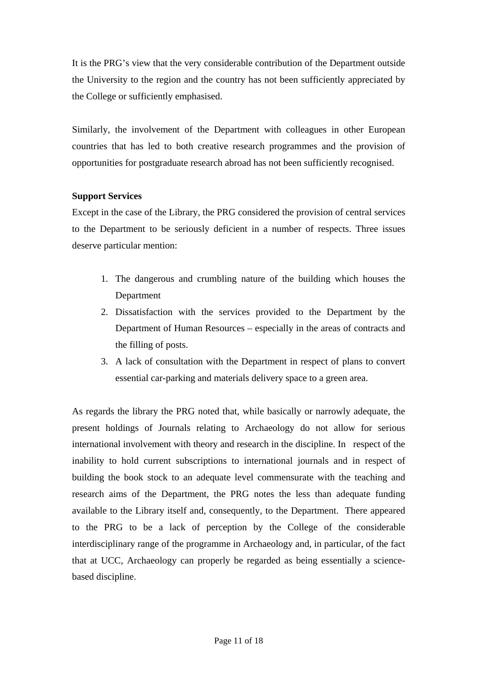It is the PRG's view that the very considerable contribution of the Department outside the University to the region and the country has not been sufficiently appreciated by the College or sufficiently emphasised.

Similarly, the involvement of the Department with colleagues in other European countries that has led to both creative research programmes and the provision of opportunities for postgraduate research abroad has not been sufficiently recognised.

# **Support Services**

Except in the case of the Library, the PRG considered the provision of central services to the Department to be seriously deficient in a number of respects. Three issues deserve particular mention:

- 1. The dangerous and crumbling nature of the building which houses the Department
- 2. Dissatisfaction with the services provided to the Department by the Department of Human Resources – especially in the areas of contracts and the filling of posts.
- 3. A lack of consultation with the Department in respect of plans to convert essential car-parking and materials delivery space to a green area.

As regards the library the PRG noted that, while basically or narrowly adequate, the present holdings of Journals relating to Archaeology do not allow for serious international involvement with theory and research in the discipline. In respect of the inability to hold current subscriptions to international journals and in respect of building the book stock to an adequate level commensurate with the teaching and research aims of the Department, the PRG notes the less than adequate funding available to the Library itself and, consequently, to the Department. There appeared to the PRG to be a lack of perception by the College of the considerable interdisciplinary range of the programme in Archaeology and, in particular, of the fact that at UCC, Archaeology can properly be regarded as being essentially a sciencebased discipline.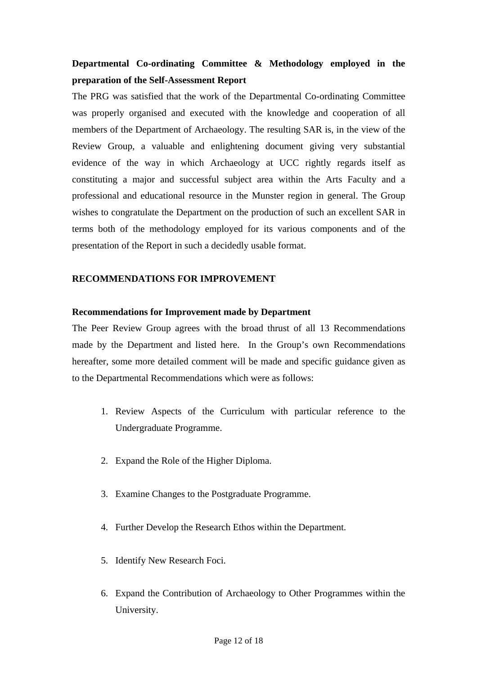# **Departmental Co-ordinating Committee & Methodology employed in the preparation of the Self-Assessment Report**

The PRG was satisfied that the work of the Departmental Co-ordinating Committee was properly organised and executed with the knowledge and cooperation of all members of the Department of Archaeology. The resulting SAR is, in the view of the Review Group, a valuable and enlightening document giving very substantial evidence of the way in which Archaeology at UCC rightly regards itself as constituting a major and successful subject area within the Arts Faculty and a professional and educational resource in the Munster region in general. The Group wishes to congratulate the Department on the production of such an excellent SAR in terms both of the methodology employed for its various components and of the presentation of the Report in such a decidedly usable format.

# **RECOMMENDATIONS FOR IMPROVEMENT**

# **Recommendations for Improvement made by Department**

The Peer Review Group agrees with the broad thrust of all 13 Recommendations made by the Department and listed here. In the Group's own Recommendations hereafter, some more detailed comment will be made and specific guidance given as to the Departmental Recommendations which were as follows:

- 1. Review Aspects of the Curriculum with particular reference to the Undergraduate Programme.
- 2. Expand the Role of the Higher Diploma.
- 3. Examine Changes to the Postgraduate Programme.
- 4. Further Develop the Research Ethos within the Department.
- 5. Identify New Research Foci.
- 6. Expand the Contribution of Archaeology to Other Programmes within the University.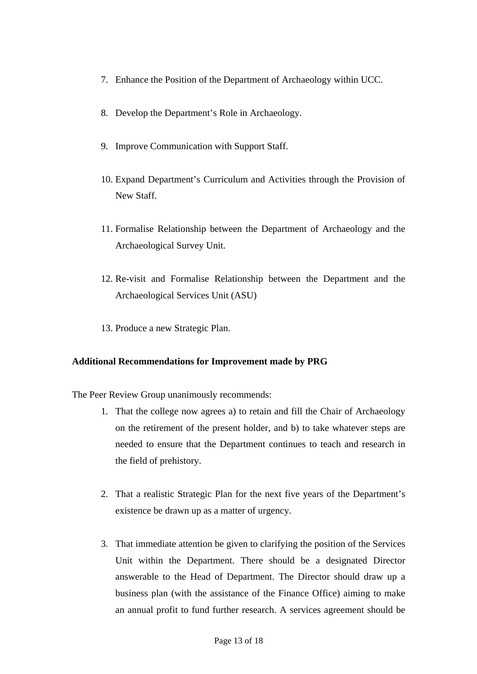- 7. Enhance the Position of the Department of Archaeology within UCC.
- 8. Develop the Department's Role in Archaeology.
- 9. Improve Communication with Support Staff.
- 10. Expand Department's Curriculum and Activities through the Provision of New Staff.
- 11. Formalise Relationship between the Department of Archaeology and the Archaeological Survey Unit.
- 12. Re-visit and Formalise Relationship between the Department and the Archaeological Services Unit (ASU)
- 13. Produce a new Strategic Plan.

# **Additional Recommendations for Improvement made by PRG**

The Peer Review Group unanimously recommends:

- 1. That the college now agrees a) to retain and fill the Chair of Archaeology on the retirement of the present holder, and b) to take whatever steps are needed to ensure that the Department continues to teach and research in the field of prehistory.
- 2. That a realistic Strategic Plan for the next five years of the Department's existence be drawn up as a matter of urgency.
- 3. That immediate attention be given to clarifying the position of the Services Unit within the Department. There should be a designated Director answerable to the Head of Department. The Director should draw up a business plan (with the assistance of the Finance Office) aiming to make an annual profit to fund further research. A services agreement should be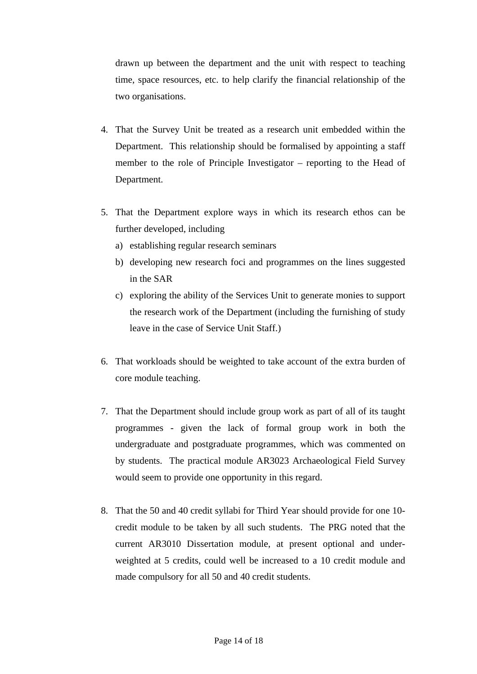drawn up between the department and the unit with respect to teaching time, space resources, etc. to help clarify the financial relationship of the two organisations.

- 4. That the Survey Unit be treated as a research unit embedded within the Department. This relationship should be formalised by appointing a staff member to the role of Principle Investigator – reporting to the Head of Department.
- 5. That the Department explore ways in which its research ethos can be further developed, including
	- a) establishing regular research seminars
	- b) developing new research foci and programmes on the lines suggested in the SAR
	- c) exploring the ability of the Services Unit to generate monies to support the research work of the Department (including the furnishing of study leave in the case of Service Unit Staff.)
- 6. That workloads should be weighted to take account of the extra burden of core module teaching.
- 7. That the Department should include group work as part of all of its taught programmes - given the lack of formal group work in both the undergraduate and postgraduate programmes, which was commented on by students. The practical module AR3023 Archaeological Field Survey would seem to provide one opportunity in this regard.
- 8. That the 50 and 40 credit syllabi for Third Year should provide for one 10 credit module to be taken by all such students. The PRG noted that the current AR3010 Dissertation module, at present optional and underweighted at 5 credits, could well be increased to a 10 credit module and made compulsory for all 50 and 40 credit students.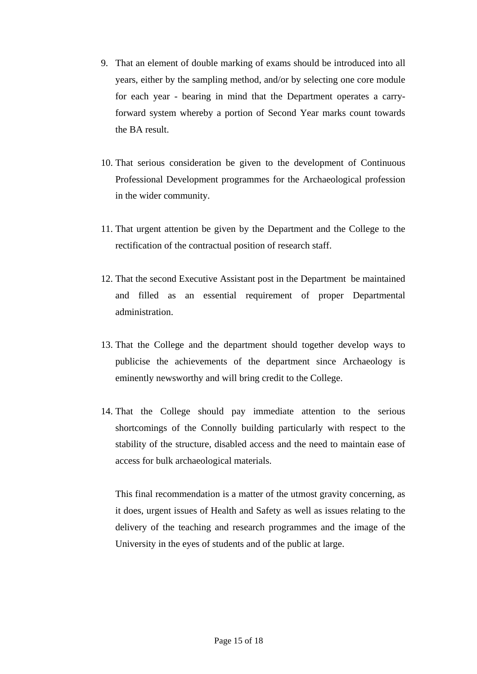- 9. That an element of double marking of exams should be introduced into all years, either by the sampling method, and/or by selecting one core module for each year - bearing in mind that the Department operates a carryforward system whereby a portion of Second Year marks count towards the BA result.
- 10. That serious consideration be given to the development of Continuous Professional Development programmes for the Archaeological profession in the wider community.
- 11. That urgent attention be given by the Department and the College to the rectification of the contractual position of research staff.
- 12. That the second Executive Assistant post in the Department be maintained and filled as an essential requirement of proper Departmental administration.
- 13. That the College and the department should together develop ways to publicise the achievements of the department since Archaeology is eminently newsworthy and will bring credit to the College.
- 14. That the College should pay immediate attention to the serious shortcomings of the Connolly building particularly with respect to the stability of the structure, disabled access and the need to maintain ease of access for bulk archaeological materials.

This final recommendation is a matter of the utmost gravity concerning, as it does, urgent issues of Health and Safety as well as issues relating to the delivery of the teaching and research programmes and the image of the University in the eyes of students and of the public at large.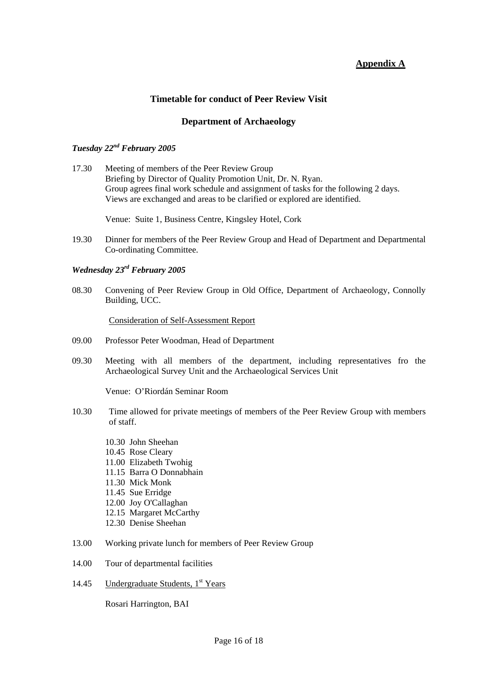# **Appendix A**

# **Timetable for conduct of Peer Review Visit**

#### **Department of Archaeology**

#### *Tuesday 22nd February 2005*

17.30 Meeting of members of the Peer Review Group Briefing by Director of Quality Promotion Unit, Dr. N. Ryan. Group agrees final work schedule and assignment of tasks for the following 2 days. Views are exchanged and areas to be clarified or explored are identified.

Venue: Suite 1, Business Centre, Kingsley Hotel, Cork

19.30 Dinner for members of the Peer Review Group and Head of Department and Departmental Co-ordinating Committee.

#### *Wednesday 23rd February 2005*

08.30 Convening of Peer Review Group in Old Office, Department of Archaeology, Connolly Building, UCC.

Consideration of Self-Assessment Report

- 09.00 Professor Peter Woodman, Head of Department
- 09.30 Meeting with all members of the department, including representatives fro the Archaeological Survey Unit and the Archaeological Services Unit

Venue: O'Riordán Seminar Room

- 10.30 Time allowed for private meetings of members of the Peer Review Group with members of staff.
	- 10.30 John Sheehan
	- 10.45 Rose Cleary
	- 11.00 Elizabeth Twohig
	- 11.15 Barra O Donnabhain
	- 11.30 Mick Monk
	- 11.45 Sue Erridge
	- 12.00 Joy O'Callaghan
	- 12.15 Margaret McCarthy
	- 12.30 Denise Sheehan
- 13.00 Working private lunch for members of Peer Review Group
- 14.00 Tour of departmental facilities
- 14.45 Undergraduate Students,  $1<sup>st</sup> Years$

Rosari Harrington, BAI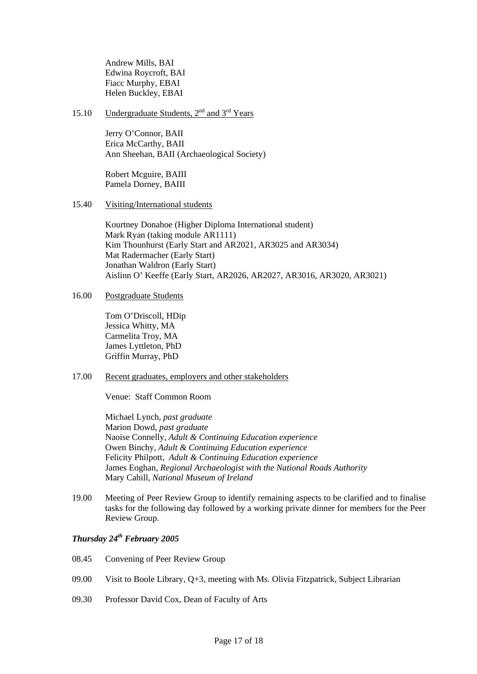Andrew Mills, BAI Edwina Roycroft, BAI Fiacc Murphy, EBAI Helen Buckley, EBAI

15.10 Undergraduate Students,  $2<sup>nd</sup>$  and  $3<sup>rd</sup>$  Years

Jerry O'Connor, BAII Erica McCarthy, BAII Ann Sheehan, BAII (Archaeological Society)

Robert Mcguire, BAIII Pamela Dorney, BAIII

15.40 Visiting/International students

Kourtney Donahoe (Higher Diploma International student) Mark Ryan (taking module AR1111) Kim Thounhurst (Early Start and AR2021, AR3025 and AR3034) Mat Radermacher (Early Start) Jonathan Waldron (Early Start) Aislinn O' Keeffe (Early Start, AR2026, AR2027, AR3016, AR3020, AR3021)

16.00 Postgraduate Students

Tom O'Driscoll, HDip Jessica Whitty, MA Carmelita Troy, MA James Lyttleton, PhD Griffin Murray, PhD

#### 17.00 Recent graduates, employers and other stakeholders

Venue: Staff Common Room

Michael Lynch, *past graduate* Marion Dowd, *past graduate* Naoise Connelly*, Adult & Continuing Education experience*  Owen Binchy, *Adult & Continuing Education experience*  Felicity Philpott, *Adult & Continuing Education experience*  James Eoghan*, Regional Archaeologist with the National Roads Authority*  Mary Cahill, *National Museum of Ireland*

19.00 Meeting of Peer Review Group to identify remaining aspects to be clarified and to finalise tasks for the following day followed by a working private dinner for members for the Peer Review Group.

#### *Thursday 24th February 2005*

- 08.45 Convening of Peer Review Group
- 09.00 Visit to Boole Library, Q+3, meeting with Ms. Olivia Fitzpatrick, Subject Librarian
- 09.30 Professor David Cox, Dean of Faculty of Arts